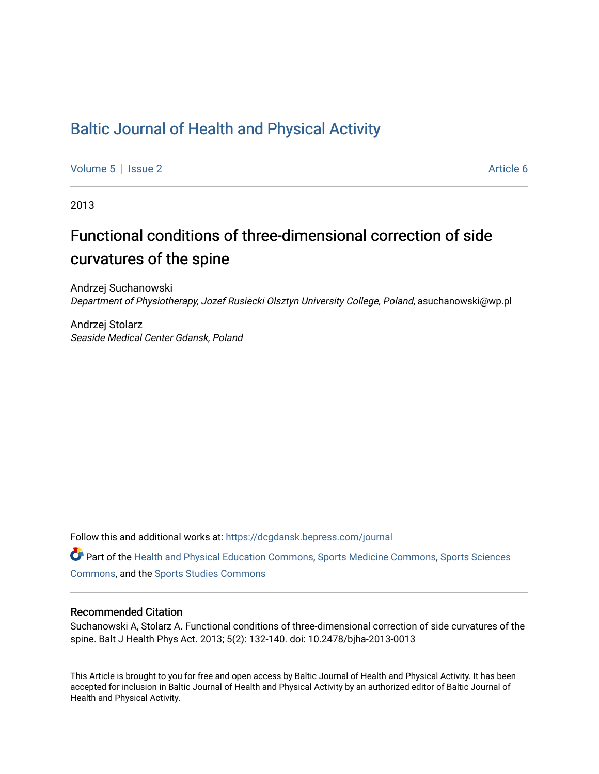## [Baltic Journal of Health and Physical Activity](https://dcgdansk.bepress.com/journal)

[Volume 5](https://dcgdansk.bepress.com/journal/vol5) | [Issue 2](https://dcgdansk.bepress.com/journal/vol5/iss2) Article 6

2013

# Functional conditions of three-dimensional correction of side curvatures of the spine

Andrzej Suchanowski Department of Physiotherapy, Jozef Rusiecki Olsztyn University College, Poland, asuchanowski@wp.pl

Andrzej Stolarz Seaside Medical Center Gdansk, Poland

Follow this and additional works at: [https://dcgdansk.bepress.com/journal](https://dcgdansk.bepress.com/journal?utm_source=dcgdansk.bepress.com%2Fjournal%2Fvol5%2Fiss2%2F6&utm_medium=PDF&utm_campaign=PDFCoverPages)

Part of the [Health and Physical Education Commons](http://network.bepress.com/hgg/discipline/1327?utm_source=dcgdansk.bepress.com%2Fjournal%2Fvol5%2Fiss2%2F6&utm_medium=PDF&utm_campaign=PDFCoverPages), [Sports Medicine Commons,](http://network.bepress.com/hgg/discipline/1331?utm_source=dcgdansk.bepress.com%2Fjournal%2Fvol5%2Fiss2%2F6&utm_medium=PDF&utm_campaign=PDFCoverPages) [Sports Sciences](http://network.bepress.com/hgg/discipline/759?utm_source=dcgdansk.bepress.com%2Fjournal%2Fvol5%2Fiss2%2F6&utm_medium=PDF&utm_campaign=PDFCoverPages) [Commons](http://network.bepress.com/hgg/discipline/759?utm_source=dcgdansk.bepress.com%2Fjournal%2Fvol5%2Fiss2%2F6&utm_medium=PDF&utm_campaign=PDFCoverPages), and the [Sports Studies Commons](http://network.bepress.com/hgg/discipline/1198?utm_source=dcgdansk.bepress.com%2Fjournal%2Fvol5%2Fiss2%2F6&utm_medium=PDF&utm_campaign=PDFCoverPages) 

### Recommended Citation

Suchanowski A, Stolarz A. Functional conditions of three-dimensional correction of side curvatures of the spine. Balt J Health Phys Act. 2013; 5(2): 132-140. doi: 10.2478/bjha-2013-0013

This Article is brought to you for free and open access by Baltic Journal of Health and Physical Activity. It has been accepted for inclusion in Baltic Journal of Health and Physical Activity by an authorized editor of Baltic Journal of Health and Physical Activity.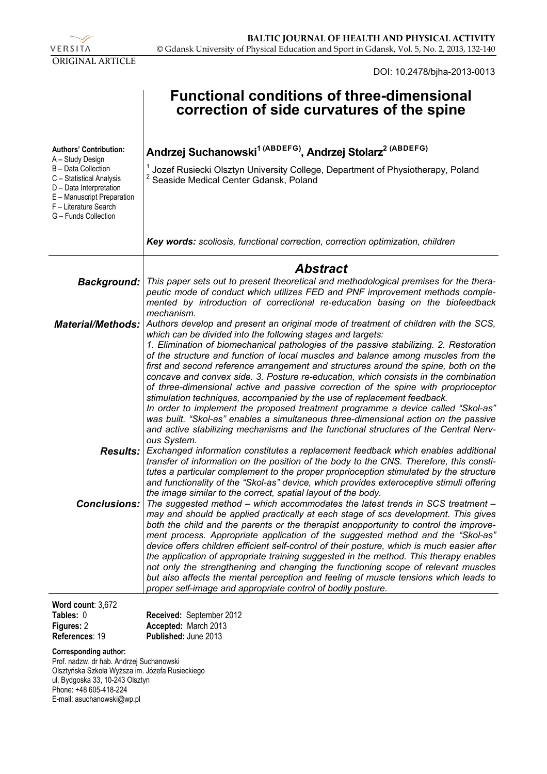

DOI: 10.2478/bjha-2013-0013

|                                                                                                                                                                               | <b>Functional conditions of three-dimensional</b><br>correction of side curvatures of the spine                                                                                                                                                                                                                                                                                                                                                                                                                                                                                                                                                                                                                                                                                                                                                                                                                                                                    |
|-------------------------------------------------------------------------------------------------------------------------------------------------------------------------------|--------------------------------------------------------------------------------------------------------------------------------------------------------------------------------------------------------------------------------------------------------------------------------------------------------------------------------------------------------------------------------------------------------------------------------------------------------------------------------------------------------------------------------------------------------------------------------------------------------------------------------------------------------------------------------------------------------------------------------------------------------------------------------------------------------------------------------------------------------------------------------------------------------------------------------------------------------------------|
| <b>Authors' Contribution:</b>                                                                                                                                                 | Andrzej Suchanowski <sup>1 (ABDEFG)</sup> , Andrzej Stolarz <sup>2 (ABDEFG)</sup>                                                                                                                                                                                                                                                                                                                                                                                                                                                                                                                                                                                                                                                                                                                                                                                                                                                                                  |
| A - Study Design<br>B - Data Collection<br>C - Statistical Analysis<br>D - Data Interpretation<br>E - Manuscript Preparation<br>F - Literature Search<br>G - Funds Collection | Jozef Rusiecki Olsztyn University College, Department of Physiotherapy, Poland<br>Seaside Medical Center Gdansk, Poland                                                                                                                                                                                                                                                                                                                                                                                                                                                                                                                                                                                                                                                                                                                                                                                                                                            |
|                                                                                                                                                                               | Key words: scoliosis, functional correction, correction optimization, children                                                                                                                                                                                                                                                                                                                                                                                                                                                                                                                                                                                                                                                                                                                                                                                                                                                                                     |
|                                                                                                                                                                               | <b>Abstract</b>                                                                                                                                                                                                                                                                                                                                                                                                                                                                                                                                                                                                                                                                                                                                                                                                                                                                                                                                                    |
| <b>Background:</b>                                                                                                                                                            | This paper sets out to present theoretical and methodological premises for the thera-<br>peutic mode of conduct which utilizes FED and PNF improvement methods comple-<br>mented by introduction of correctional re-education basing on the biofeedback<br>mechanism.                                                                                                                                                                                                                                                                                                                                                                                                                                                                                                                                                                                                                                                                                              |
| <b>Material/Methods:</b>                                                                                                                                                      | Authors develop and present an original mode of treatment of children with the SCS,<br>which can be divided into the following stages and targets:<br>1. Elimination of biomechanical pathologies of the passive stabilizing. 2. Restoration<br>of the structure and function of local muscles and balance among muscles from the<br>first and second reference arrangement and structures around the spine, both on the<br>concave and convex side. 3. Posture re-education, which consists in the combination<br>of three-dimensional active and passive correction of the spine with proprioceptor<br>stimulation techniques, accompanied by the use of replacement feedback.<br>In order to implement the proposed treatment programme a device called "Skol-as"<br>was built. "Skol-as" enables a simultaneous three-dimensional action on the passive<br>and active stabilizing mechanisms and the functional structures of the Central Nerv-<br>ous System. |
| <b>Results:</b>                                                                                                                                                               | Exchanged information constitutes a replacement feedback which enables additional<br>transfer of information on the position of the body to the CNS. Therefore, this consti-<br>tutes a particular complement to the proper proprioception stimulated by the structure<br>and functionality of the "Skol-as" device, which provides exteroceptive stimuli offering<br>the image similar to the correct, spatial layout of the body.                                                                                                                                                                                                                                                                                                                                                                                                                                                                                                                                |
| Conclusions:                                                                                                                                                                  | The suggested method – which accommodates the latest trends in SCS treatment –<br>may and should be applied practically at each stage of scs development. This gives<br>both the child and the parents or the therapist anopportunity to control the improve-<br>ment process. Appropriate application of the suggested method and the "Skol-as"<br>device offers children efficient self-control of their posture, which is much easier after<br>the application of appropriate training suggested in the method. This therapy enables<br>not only the strengthening and changing the functioning scope of relevant muscles<br>but also affects the mental perception and feeling of muscle tensions which leads to<br>proper self-image and appropriate control of bodily posture.                                                                                                                                                                               |
| Word count: 3,672<br>Tables: 0                                                                                                                                                | Received: September 2012                                                                                                                                                                                                                                                                                                                                                                                                                                                                                                                                                                                                                                                                                                                                                                                                                                                                                                                                           |

**Tables:** 0 **Figures:** 2 **References**: 19

**Received:** September 2012 **Accepted:** March 2013 **Published:** June 2013

#### **Corresponding author:**

Prof. nadzw. dr hab. Andrzej Suchanowski Olsztyńska Szkoła Wyższa im. Józefa Rusieckiego ul. Bydgoska 33, 10-243 Olsztyn Phone: +48 605-418-224 E-mail: asuchanowski@wp.pl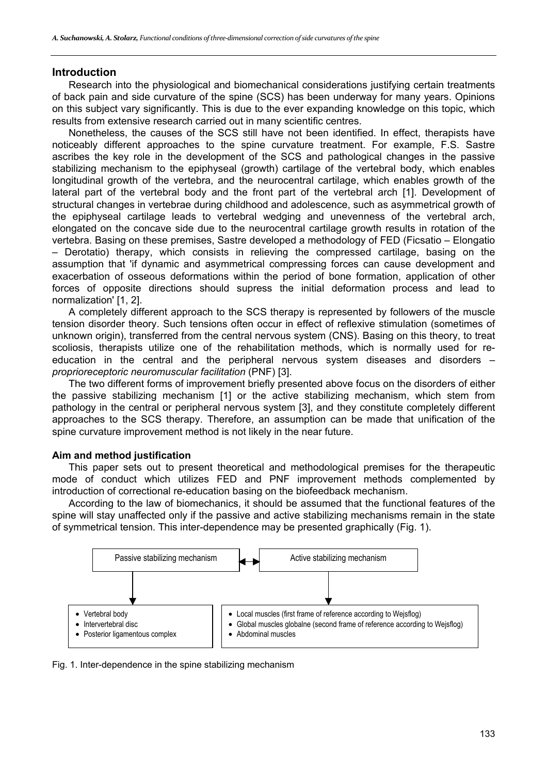## **Introduction**

Research into the physiological and biomechanical considerations justifying certain treatments of back pain and side curvature of the spine (SCS) has been underway for many years. Opinions on this subject vary significantly. This is due to the ever expanding knowledge on this topic, which results from extensive research carried out in many scientific centres.

Nonetheless, the causes of the SCS still have not been identified. In effect, therapists have noticeably different approaches to the spine curvature treatment. For example, F.S. Sastre ascribes the key role in the development of the SCS and pathological changes in the passive stabilizing mechanism to the epiphyseal (growth) cartilage of the vertebral body, which enables longitudinal growth of the vertebra, and the neurocentral cartilage, which enables growth of the lateral part of the vertebral body and the front part of the vertebral arch [1]. Development of structural changes in vertebrae during childhood and adolescence, such as asymmetrical growth of the epiphyseal cartilage leads to vertebral wedging and unevenness of the vertebral arch, elongated on the concave side due to the neurocentral cartilage growth results in rotation of the vertebra. Basing on these premises, Sastre developed a methodology of FED (Ficsatio – Elongatio – Derotatio) therapy, which consists in relieving the compressed cartilage, basing on the assumption that 'if dynamic and asymmetrical compressing forces can cause development and exacerbation of osseous deformations within the period of bone formation, application of other forces of opposite directions should supress the initial deformation process and lead to normalization' [1, 2].

A completely different approach to the SCS therapy is represented by followers of the muscle tension disorder theory. Such tensions often occur in effect of reflexive stimulation (sometimes of unknown origin), transferred from the central nervous system (CNS). Basing on this theory, to treat scoliosis, therapists utilize one of the rehabilitation methods, which is normally used for reeducation in the central and the peripheral nervous system diseases and disorders – *proprioreceptoric neuromuscular facilitation* (PNF) [3].

The two different forms of improvement briefly presented above focus on the disorders of either the passive stabilizing mechanism [1] or the active stabilizing mechanism, which stem from pathology in the central or peripheral nervous system [3], and they constitute completely different approaches to the SCS therapy. Therefore, an assumption can be made that unification of the spine curvature improvement method is not likely in the near future.

## **Aim and method justification**

This paper sets out to present theoretical and methodological premises for the therapeutic mode of conduct which utilizes FED and PNF improvement methods complemented by introduction of correctional re-education basing on the biofeedback mechanism.

According to the law of biomechanics, it should be assumed that the functional features of the spine will stay unaffected only if the passive and active stabilizing mechanisms remain in the state of symmetrical tension. This inter-dependence may be presented graphically (Fig. 1).



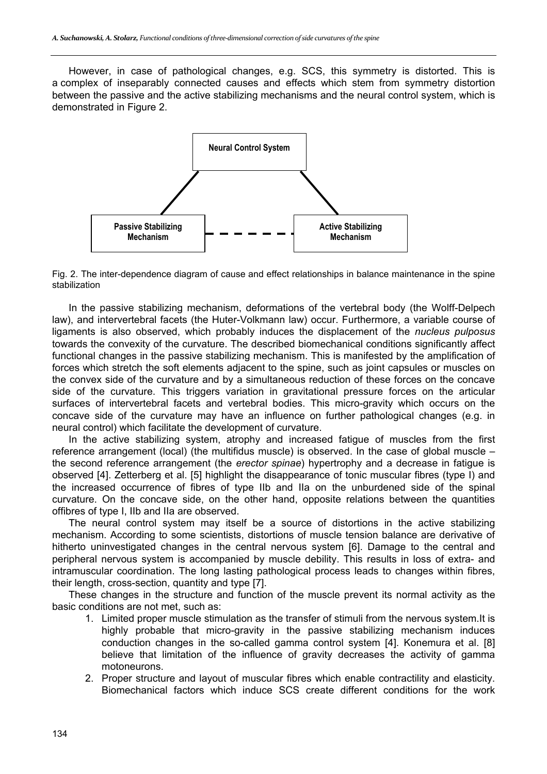However, in case of pathological changes, e.g. SCS, this symmetry is distorted. This is a complex of inseparably connected causes and effects which stem from symmetry distortion between the passive and the active stabilizing mechanisms and the neural control system, which is demonstrated in Figure 2.



Fig. 2. The inter-dependence diagram of cause and effect relationships in balance maintenance in the spine stabilization

In the passive stabilizing mechanism, deformations of the vertebral body (the Wolff-Delpech law), and intervertebral facets (the Huter-Volkmann law) occur. Furthermore, a variable course of ligaments is also observed, which probably induces the displacement of the *nucleus pulposus* towards the convexity of the curvature. The described biomechanical conditions significantly affect functional changes in the passive stabilizing mechanism. This is manifested by the amplification of forces which stretch the soft elements adjacent to the spine, such as joint capsules or muscles on the convex side of the curvature and by a simultaneous reduction of these forces on the concave side of the curvature. This triggers variation in gravitational pressure forces on the articular surfaces of intervertebral facets and vertebral bodies. This micro-gravity which occurs on the concave side of the curvature may have an influence on further pathological changes (e.g. in neural control) which facilitate the development of curvature.

In the active stabilizing system, atrophy and increased fatigue of muscles from the first reference arrangement (local) (the multifidus muscle) is observed. In the case of global muscle – the second reference arrangement (the *erector spinae*) hypertrophy and a decrease in fatigue is observed [4]. Zetterberg et al. [5] highlight the disappearance of tonic muscular fibres (type I) and the increased occurrence of fibres of type IIb and IIa on the unburdened side of the spinal curvature. On the concave side, on the other hand, opposite relations between the quantities offibres of type I, IIb and IIa are observed.

The neural control system may itself be a source of distortions in the active stabilizing mechanism. According to some scientists, distortions of muscle tension balance are derivative of hitherto uninvestigated changes in the central nervous system [6]. Damage to the central and peripheral nervous system is accompanied by muscle debility. This results in loss of extra- and intramuscular coordination. The long lasting pathological process leads to changes within fibres, their length, cross-section, quantity and type [7].

These changes in the structure and function of the muscle prevent its normal activity as the basic conditions are not met, such as:

- 1. Limited proper muscle stimulation as the transfer of stimuli from the nervous system.It is highly probable that micro-gravity in the passive stabilizing mechanism induces conduction changes in the so-called gamma control system [4]. Konemura et al. [8] believe that limitation of the influence of gravity decreases the activity of gamma motoneurons.
- 2. Proper structure and layout of muscular fibres which enable contractility and elasticity. Biomechanical factors which induce SCS create different conditions for the work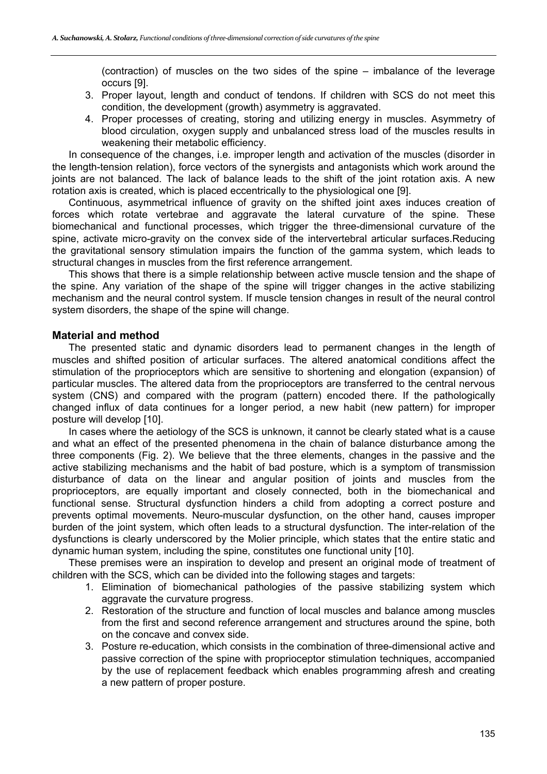(contraction) of muscles on the two sides of the spine – imbalance of the leverage occurs [9].

- 3. Proper layout, length and conduct of tendons. If children with SCS do not meet this condition, the development (growth) asymmetry is aggravated.
- 4. Proper processes of creating, storing and utilizing energy in muscles. Asymmetry of blood circulation, oxygen supply and unbalanced stress load of the muscles results in weakening their metabolic efficiency.

In consequence of the changes, i.e. improper length and activation of the muscles (disorder in the length-tension relation), force vectors of the synergists and antagonists which work around the joints are not balanced. The lack of balance leads to the shift of the joint rotation axis. A new rotation axis is created, which is placed eccentrically to the physiological one [9].

Continuous, asymmetrical influence of gravity on the shifted joint axes induces creation of forces which rotate vertebrae and aggravate the lateral curvature of the spine. These biomechanical and functional processes, which trigger the three-dimensional curvature of the spine, activate micro-gravity on the convex side of the intervertebral articular surfaces.Reducing the gravitational sensory stimulation impairs the function of the gamma system, which leads to structural changes in muscles from the first reference arrangement.

This shows that there is a simple relationship between active muscle tension and the shape of the spine. Any variation of the shape of the spine will trigger changes in the active stabilizing mechanism and the neural control system. If muscle tension changes in result of the neural control system disorders, the shape of the spine will change.

## **Material and method**

The presented static and dynamic disorders lead to permanent changes in the length of muscles and shifted position of articular surfaces. The altered anatomical conditions affect the stimulation of the proprioceptors which are sensitive to shortening and elongation (expansion) of particular muscles. The altered data from the proprioceptors are transferred to the central nervous system (CNS) and compared with the program (pattern) encoded there. If the pathologically changed influx of data continues for a longer period, a new habit (new pattern) for improper posture will develop [10].

In cases where the aetiology of the SCS is unknown, it cannot be clearly stated what is a cause and what an effect of the presented phenomena in the chain of balance disturbance among the three components (Fig. 2). We believe that the three elements, changes in the passive and the active stabilizing mechanisms and the habit of bad posture, which is a symptom of transmission disturbance of data on the linear and angular position of joints and muscles from the proprioceptors, are equally important and closely connected, both in the biomechanical and functional sense. Structural dysfunction hinders a child from adopting a correct posture and prevents optimal movements. Neuro-muscular dysfunction, on the other hand, causes improper burden of the joint system, which often leads to a structural dysfunction. The inter-relation of the dysfunctions is clearly underscored by the Molier principle, which states that the entire static and dynamic human system, including the spine, constitutes one functional unity [10].

These premises were an inspiration to develop and present an original mode of treatment of children with the SCS, which can be divided into the following stages and targets:

- 1. Elimination of biomechanical pathologies of the passive stabilizing system which aggravate the curvature progress.
- 2. Restoration of the structure and function of local muscles and balance among muscles from the first and second reference arrangement and structures around the spine, both on the concave and convex side.
- 3. Posture re-education, which consists in the combination of three-dimensional active and passive correction of the spine with proprioceptor stimulation techniques, accompanied by the use of replacement feedback which enables programming afresh and creating a new pattern of proper posture.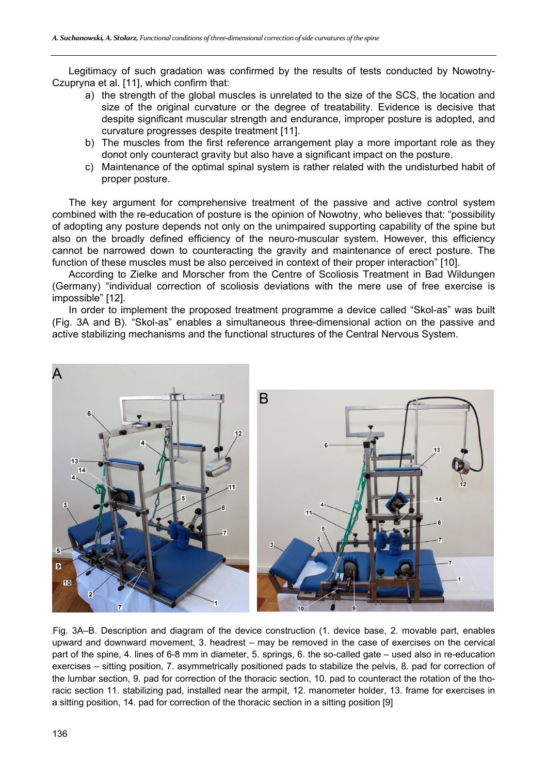Legitimacy of such gradation was confirmed by the results of tests conducted by Nowotny-Czupryna et al. [11], which confirm that:

- a) the strength of the global muscles is unrelated to the size of the SCS, the location and size of the original curvature or the degree of treatability. Evidence is decisive that despite significant muscular strength and endurance, improper posture is adopted, and curvature progresses despite treatment [11].
- b) The muscles from the first reference arrangement play a more important role as they donot only counteract gravity but also have a significant impact on the posture.
- c) Maintenance of the optimal spinal system is rather related with the undisturbed habit of proper posture.

The key argument for comprehensive treatment of the passive and active control system combined with the re-education of posture is the opinion of Nowotny, who believes that: "possibility of adopting any posture depends not only on the unimpaired supporting capability of the spine but also on the broadly defined efficiency of the neuro-muscular system. However, this efficiency cannot be narrowed down to counteracting the gravity and maintenance of erect posture. The function of these muscles must be also perceived in context of their proper interaction" [10].

According to Zielke and Morscher from the Centre of Scoliosis Treatment in Bad Wildungen (Germany) "individual correction of scoliosis deviations with the mere use of free exercise is impossible" [12].

In order to implement the proposed treatment programme a device called "Skol-as" was built (Fig. 3A and B). "Skol-as" enables a simultaneous three-dimensional action on the passive and active stabilizing mechanisms and the functional structures of the Central Nervous System.



Fig. 3A–B. Description and diagram of the device construction (1. device base, 2. movable part, enables upward and downward movement, 3. headrest – may be removed in the case of exercises on the cervical part of the spine, 4. lines of 6-8 mm in diameter, 5. springs, 6. the so-called gate – used also in re-education exercises – sitting position, 7. asymmetrically positioned pads to stabilize the pelvis, 8. pad for correction of the lumbar section, 9. pad for correction of the thoracic section, 10. pad to counteract the rotation of the thoracic section 11. stabilizing pad, installed near the armpit, 12. manometer holder, 13. frame for exercises in a sitting position, 14. pad for correction of the thoracic section in a sitting position [9]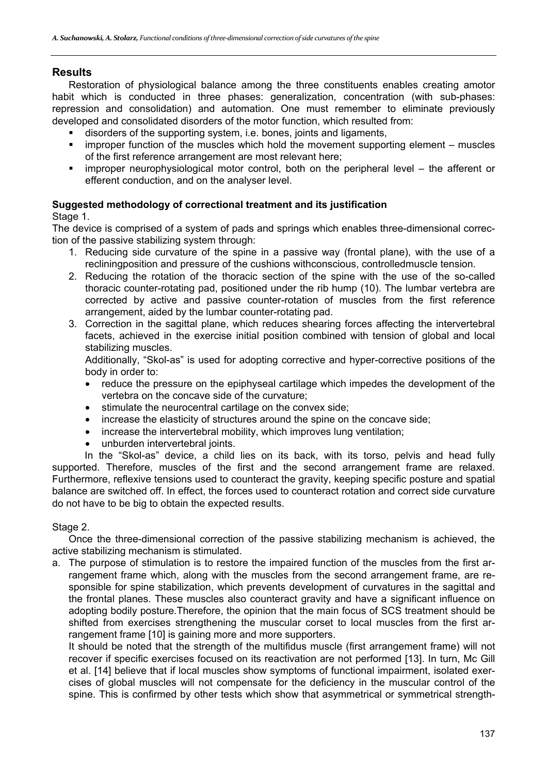## **Results**

Restoration of physiological balance among the three constituents enables creating amotor habit which is conducted in three phases: generalization, concentration (with sub-phases: repression and consolidation) and automation. One must remember to eliminate previously developed and consolidated disorders of the motor function, which resulted from:

- disorders of the supporting system, i.e. bones, joints and ligaments,
- improper function of the muscles which hold the movement supporting element muscles of the first reference arrangement are most relevant here;
- improper neurophysiological motor control, both on the peripheral level the afferent or efferent conduction, and on the analyser level.

## **Suggested methodology of correctional treatment and its justification**

## Stage 1.

The device is comprised of a system of pads and springs which enables three-dimensional correction of the passive stabilizing system through:

- 1. Reducing side curvature of the spine in a passive way (frontal plane), with the use of a recliningposition and pressure of the cushions withconscious, controlledmuscle tension.
- 2. Reducing the rotation of the thoracic section of the spine with the use of the so-called thoracic counter-rotating pad, positioned under the rib hump (10). The lumbar vertebra are corrected by active and passive counter-rotation of muscles from the first reference arrangement, aided by the lumbar counter-rotating pad.
- 3. Correction in the sagittal plane, which reduces shearing forces affecting the intervertebral facets, achieved in the exercise initial position combined with tension of global and local stabilizing muscles.

Additionally, "Skol-as" is used for adopting corrective and hyper-corrective positions of the body in order to:

- reduce the pressure on the epiphyseal cartilage which impedes the development of the vertebra on the concave side of the curvature;
- stimulate the neurocentral cartilage on the convex side;
- increase the elasticity of structures around the spine on the concave side;
- increase the intervertebral mobility, which improves lung ventilation;
- unburden intervertebral joints.

In the "Skol-as" device, a child lies on its back, with its torso, pelvis and head fully supported. Therefore, muscles of the first and the second arrangement frame are relaxed. Furthermore, reflexive tensions used to counteract the gravity, keeping specific posture and spatial balance are switched off. In effect, the forces used to counteract rotation and correct side curvature do not have to be big to obtain the expected results.

## Stage 2.

Once the three-dimensional correction of the passive stabilizing mechanism is achieved, the active stabilizing mechanism is stimulated.

a. The purpose of stimulation is to restore the impaired function of the muscles from the first arrangement frame which, along with the muscles from the second arrangement frame, are responsible for spine stabilization, which prevents development of curvatures in the sagittal and the frontal planes. These muscles also counteract gravity and have a significant influence on adopting bodily posture.Therefore, the opinion that the main focus of SCS treatment should be shifted from exercises strengthening the muscular corset to local muscles from the first arrangement frame [10] is gaining more and more supporters.

It should be noted that the strength of the multifidus muscle (first arrangement frame) will not recover if specific exercises focused on its reactivation are not performed [13]. In turn, Mc Gill et al. [14] believe that if local muscles show symptoms of functional impairment, isolated exercises of global muscles will not compensate for the deficiency in the muscular control of the spine. This is confirmed by other tests which show that asymmetrical or symmetrical strength-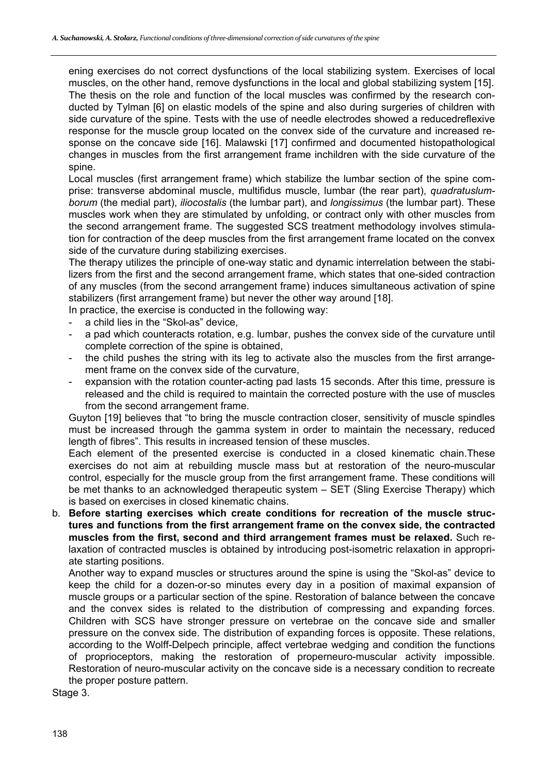ening exercises do not correct dysfunctions of the local stabilizing system. Exercises of local muscles, on the other hand, remove dysfunctions in the local and global stabilizing system [15]. The thesis on the role and function of the local muscles was confirmed by the research conducted by Tylman [6] on elastic models of the spine and also during surgeries of children with side curvature of the spine. Tests with the use of needle electrodes showed a reducedreflexive response for the muscle group located on the convex side of the curvature and increased response on the concave side [16]. Malawski [17] confirmed and documented histopathological changes in muscles from the first arrangement frame inchildren with the side curvature of the spine.

Local muscles (first arrangement frame) which stabilize the lumbar section of the spine comprise: transverse abdominal muscle, multifidus muscle, lumbar (the rear part), *quadratuslumborum* (the medial part), *iliocostalis* (the lumbar part), and *longissimus* (the lumbar part). These muscles work when they are stimulated by unfolding, or contract only with other muscles from the second arrangement frame. The suggested SCS treatment methodology involves stimulation for contraction of the deep muscles from the first arrangement frame located on the convex side of the curvature during stabilizing exercises.

The therapy utilizes the principle of one-way static and dynamic interrelation between the stabilizers from the first and the second arrangement frame, which states that one-sided contraction of any muscles (from the second arrangement frame) induces simultaneous activation of spine stabilizers (first arrangement frame) but never the other way around [18].

In practice, the exercise is conducted in the following way:

- a child lies in the "Skol-as" device,
- a pad which counteracts rotation, e.g. lumbar, pushes the convex side of the curvature until complete correction of the spine is obtained,
- the child pushes the string with its leg to activate also the muscles from the first arrangement frame on the convex side of the curvature,
- expansion with the rotation counter-acting pad lasts 15 seconds. After this time, pressure is released and the child is required to maintain the corrected posture with the use of muscles from the second arrangement frame.

Guyton [19] believes that "to bring the muscle contraction closer, sensitivity of muscle spindles must be increased through the gamma system in order to maintain the necessary, reduced length of fibres". This results in increased tension of these muscles.

Each element of the presented exercise is conducted in a closed kinematic chain.These exercises do not aim at rebuilding muscle mass but at restoration of the neuro-muscular control, especially for the muscle group from the first arrangement frame. These conditions will be met thanks to an acknowledged therapeutic system – SET (Sling Exercise Therapy) which is based on exercises in closed kinematic chains.

b. **Before starting exercises which create conditions for recreation of the muscle structures and functions from the first arrangement frame on the convex side, the contracted muscles from the first, second and third arrangement frames must be relaxed.** Such relaxation of contracted muscles is obtained by introducing post-isometric relaxation in appropriate starting positions.

Another way to expand muscles or structures around the spine is using the "Skol-as" device to keep the child for a dozen-or-so minutes every day in a position of maximal expansion of muscle groups or a particular section of the spine. Restoration of balance between the concave and the convex sides is related to the distribution of compressing and expanding forces. Children with SCS have stronger pressure on vertebrae on the concave side and smaller pressure on the convex side. The distribution of expanding forces is opposite. These relations, according to the Wolff-Delpech principle, affect vertebrae wedging and condition the functions of proprioceptors, making the restoration of properneuro-muscular activity impossible. Restoration of neuro-muscular activity on the concave side is a necessary condition to recreate the proper posture pattern.

Stage 3.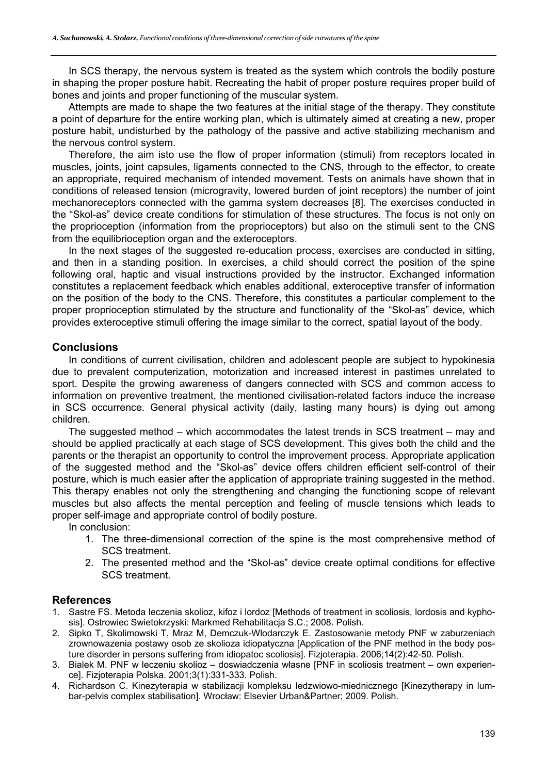In SCS therapy, the nervous system is treated as the system which controls the bodily posture in shaping the proper posture habit. Recreating the habit of proper posture requires proper build of bones and joints and proper functioning of the muscular system.

Attempts are made to shape the two features at the initial stage of the therapy. They constitute a point of departure for the entire working plan, which is ultimately aimed at creating a new, proper posture habit, undisturbed by the pathology of the passive and active stabilizing mechanism and the nervous control system.

Therefore, the aim isto use the flow of proper information (stimuli) from receptors located in muscles, joints, joint capsules, ligaments connected to the CNS, through to the effector, to create an appropriate, required mechanism of intended movement. Tests on animals have shown that in conditions of released tension (microgravity, lowered burden of joint receptors) the number of joint mechanoreceptors connected with the gamma system decreases [8]. The exercises conducted in the "Skol-as" device create conditions for stimulation of these structures. The focus is not only on the proprioception (information from the proprioceptors) but also on the stimuli sent to the CNS from the equilibrioception organ and the exteroceptors.

In the next stages of the suggested re-education process, exercises are conducted in sitting, and then in a standing position. In exercises, a child should correct the position of the spine following oral, haptic and visual instructions provided by the instructor. Exchanged information constitutes a replacement feedback which enables additional, exteroceptive transfer of information on the position of the body to the CNS. Therefore, this constitutes a particular complement to the proper proprioception stimulated by the structure and functionality of the "Skol-as" device, which provides exteroceptive stimuli offering the image similar to the correct, spatial layout of the body.

## **Conclusions**

In conditions of current civilisation, children and adolescent people are subject to hypokinesia due to prevalent computerization, motorization and increased interest in pastimes unrelated to sport. Despite the growing awareness of dangers connected with SCS and common access to information on preventive treatment, the mentioned civilisation-related factors induce the increase in SCS occurrence. General physical activity (daily, lasting many hours) is dying out among children.

The suggested method – which accommodates the latest trends in SCS treatment – may and should be applied practically at each stage of SCS development. This gives both the child and the parents or the therapist an opportunity to control the improvement process. Appropriate application of the suggested method and the "Skol-as" device offers children efficient self-control of their posture, which is much easier after the application of appropriate training suggested in the method. This therapy enables not only the strengthening and changing the functioning scope of relevant muscles but also affects the mental perception and feeling of muscle tensions which leads to proper self-image and appropriate control of bodily posture.

In conclusion:

- 1. The three-dimensional correction of the spine is the most comprehensive method of SCS treatment.
- 2. The presented method and the "Skol-as" device create optimal conditions for effective SCS treatment.

## **References**

- 1. Sastre FS. Metoda leczenia skolioz, kifoz i lordoz [Methods of treatment in scoliosis, lordosis and kyphosis]. Ostrowiec Swietokrzyski: Markmed Rehabilitacja S.C.; 2008. Polish.
- 2. Sipko T, Skolimowski T, Mraz M, Demczuk-Wlodarczyk E. Zastosowanie metody PNF w zaburzeniach zrownowazenia postawy osob ze skolioza idiopatyczna [Application of the PNF method in the body posture disorder in persons suffering from idiopatoc scoliosis]. Fizjoterapia. 2006;14(2):42-50. Polish.
- 3. Bialek M. PNF w leczeniu skolioz doswiadczenia własne [PNF in scoliosis treatment own experience]. Fizjoterapia Polska. 2001;3(1):331-333. Polish.
- 4. Richardson C. Kinezyterapia w stabilizacji kompleksu ledzwiowo-miednicznego [Kinezytherapy in lumbar-pelvis complex stabilisation]. Wrocław: Elsevier Urban&Partner; 2009. Polish.